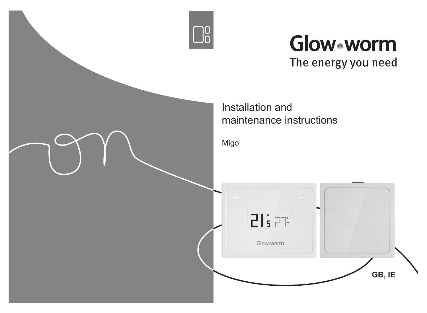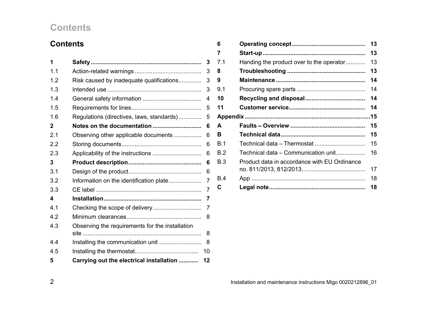### **Contents**

| <b>Contents</b> |                                                 |    |
|-----------------|-------------------------------------------------|----|
| 1               |                                                 | 3  |
| 1.1             |                                                 | 3  |
| 1.2             | Risk caused by inadequate qualifications        | 3  |
| 1.3             |                                                 | 3  |
| 1.4             |                                                 | 4  |
| 1.5             |                                                 | 5  |
| 1.6             | Regulations (directives, laws, standards)       | 5  |
| 2               | Notes on the documentation                      | 6  |
| 2.1             | Observing other applicable documents            | 6  |
| 2.2             |                                                 | 6  |
| 2.3             |                                                 | 6  |
| 3               |                                                 | 6  |
| 3.1             |                                                 | 6  |
| 3.2             | Information on the identification plate         | 7  |
| 3.3             |                                                 | 7  |
| 4               |                                                 | 7  |
| 4.1             |                                                 | 7  |
| 4.2             |                                                 | 8  |
| 4.3             | Observing the requirements for the installation |    |
|                 |                                                 | 8  |
| 4.4             | Installing the communication unit               | 8  |
| 4.5             |                                                 | 10 |
| 5               | Carrying out the electrical installation        | 12 |

| 6   |                                              | 13 |
|-----|----------------------------------------------|----|
| 7   |                                              | 13 |
| 7.1 | Handing the product over to the operator     | 13 |
| 8   |                                              | 13 |
| 9   |                                              | 14 |
| 9.1 |                                              | 14 |
| 10  |                                              | 14 |
| 11  |                                              | 14 |
|     |                                              |    |
| А   |                                              | 15 |
| в   |                                              | 15 |
| B.1 |                                              | 15 |
| B.2 | Technical data – Communication unit          | 16 |
| B.3 | Product data in accordance with EU Ordinance |    |
|     |                                              | 17 |
| B.4 |                                              | 18 |
| C   |                                              | 18 |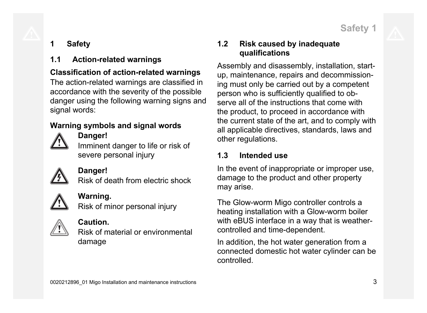**Safety 1**

### **1 Safety**

### **1.1 Action-related warnings**

### **Classification of action-related warnings**

The action-related warnings are classified in accordance with the severity of the possible danger using the following warning signs and signal words:

### **Warning symbols and signal words**



### **Danger!**

Imminent danger to life or risk of severe personal injury



### **Danger!**

Risk of death from electric shock



### **Warning.**

Risk of minor personal injury



### **Caution.**

Risk of material or environmental damage

### **1.2 Risk caused by inadequate qualifications**

Assembly and disassembly, installation, startup, maintenance, repairs and decommissioning must only be carried out by a competent person who is sufficiently qualified to observe all of the instructions that come with the product, to proceed in accordance with the current state of the art, and to comply with all applicable directives, standards, laws and other regulations.

### **1.3 Intended use**

In the event of inappropriate or improper use, damage to the product and other property may arise.

The Glow-worm Migo controller controls a heating installation with a Glow-worm boiler with eBUS interface in a way that is weathercontrolled and time-dependent.

In addition, the hot water generation from a connected domestic hot water cylinder can be controlled.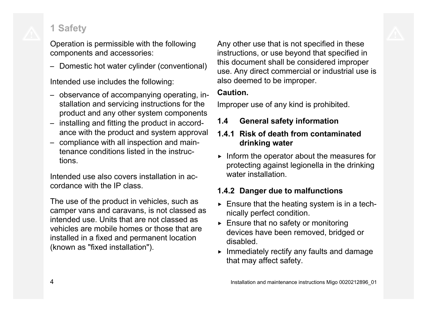## **1 Safety**

Operation is permissible with the following components and accessories:

– Domestic hot water cylinder (conventional)

Intended use includes the following:

- observance of accompanying operating, installation and servicing instructions for the product and any other system components
- installing and fitting the product in accordance with the product and system approval
- compliance with all inspection and maintenance conditions listed in the instructions.

Intended use also covers installation in accordance with the IP class.

The use of the product in vehicles, such as camper vans and caravans, is not classed as intended use. Units that are not classed as vehicles are mobile homes or those that are installed in a fixed and permanent location (known as "fixed installation").

Any other use that is not specified in these instructions, or use beyond that specified in this document shall be considered improper use. Any direct commercial or industrial use is also deemed to be improper.

### **Caution.**

Improper use of any kind is prohibited.

### **1.4 General safety information**

### **1.4.1 Risk of death from contaminated drinking water**

 $\triangleright$  Inform the operator about the measures for protecting against legionella in the drinking water installation

### **1.4.2 Danger due to malfunctions**

- $\triangleright$  Ensure that the heating system is in a technically perfect condition.
- $\triangleright$  Ensure that no safety or monitoring devices have been removed, bridged or disabled.
- $\blacktriangleright$  Immediately rectify any faults and damage that may affect safety.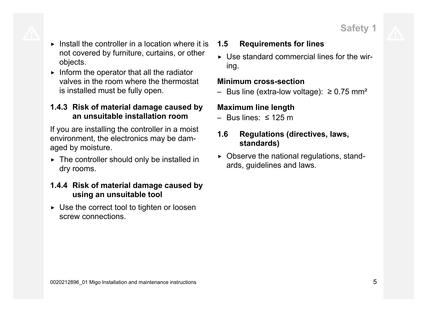- $\triangleright$  Install the controller in a location where it is not covered by furniture, curtains, or other objects.
- $\triangleright$  Inform the operator that all the radiator valves in the room where the thermostat is installed must be fully open.

### **1.4.3 Risk of material damage caused by an unsuitable installation room**

If you are installing the controller in a moist environment, the electronics may be damaged by moisture.

 $\triangleright$  The controller should only be installed in dry rooms.

### **1.4.4 Risk of material damage caused by using an unsuitable tool**

 $\triangleright$  Use the correct tool to tighten or loosen screw connections.

### **1.5 Requirements for lines**

 $\triangleright$  Use standard commercial lines for the wiring.

#### **Minimum cross-section**

– Bus line (extra-low voltage): ≥ 0.75 mm²

### **Maximum line length**

– Bus lines: ≤ 125 m

### **1.6 Regulations (directives, laws, standards)**

 $\triangleright$  Observe the national regulations, standards, guidelines and laws.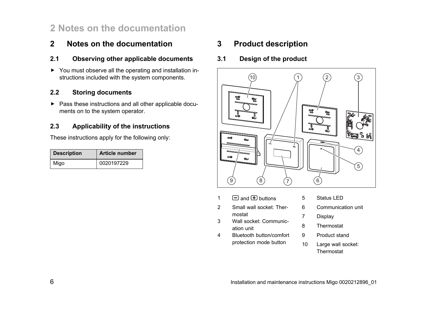### **2 Notes on the documentation**

### **2 Notes on the documentation**

#### **2.1 Observing other applicable documents**

▶ You must observe all the operating and installation instructions included with the system components.

#### **2.2 Storing documents**

▶ Pass these instructions and all other applicable documents on to the system operator.

#### **2.3 Applicability of the instructions**

These instructions apply for the following only:

| <b>Description</b> | <b>Article number</b> |
|--------------------|-----------------------|
| Migo               | 0020197229            |

#### **3 Product description**

**3.1 Design of the product**



- $1 \square$  and  $\square$  buttons
- 2 Small wall socket: Thermostat
- 3 Wall socket: Communication unit
- 4 Bluetooth button/comfort protection mode button
- 5 Status LED
- 6 Communication unit
- 7 Display
- 8 Thermostat
- 9 Product stand
- 10 Large wall socket: Thermostat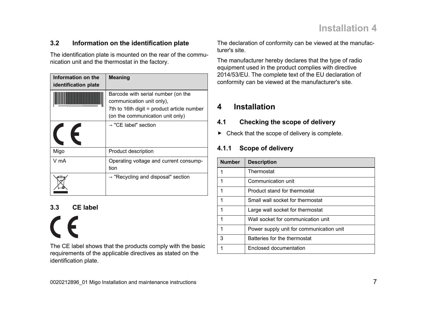#### **3.2 Information on the identification plate**

The identification plate is mounted on the rear of the communication unit and the thermostat in the factory.

| Information on the   | <b>Meaning</b>                                                                                                                                    |
|----------------------|---------------------------------------------------------------------------------------------------------------------------------------------------|
| identification plate |                                                                                                                                                   |
|                      | Barcode with serial number (on the<br>communication unit only),<br>7th to 16th digit = product article number<br>(on the communication unit only) |
|                      | $\rightarrow$ "CE label" section                                                                                                                  |
| Migo                 | Product description                                                                                                                               |
| V mA                 | Operating voltage and current consump-<br>tion                                                                                                    |
|                      | $\rightarrow$ "Recycling and disposal" section                                                                                                    |

#### **3.3 CE label**

 $\epsilon$ The CE label shows that the products comply with the basic requirements of the applicable directives as stated on the identification plate.

The declaration of conformity can be viewed at the manufacturer's site.

The manufacturer hereby declares that the type of radio equipment used in the product complies with directive 2014/53/EU. The complete text of the EU declaration of conformity can be viewed at the manufacturer's site.

### **4 Installation**

#### **4.1 Checking the scope of delivery**

 $\blacktriangleright$  Check that the scope of delivery is complete.

#### **4.1.1 Scope of delivery**

| <b>Number</b> | <b>Description</b>                       |
|---------------|------------------------------------------|
|               | Thermostat                               |
|               | Communication unit                       |
|               | Product stand for thermostat             |
|               | Small wall socket for thermostat         |
|               | Large wall socket for thermostat         |
|               | Wall socket for communication unit       |
|               | Power supply unit for communication unit |
| 3             | Batteries for the thermostat             |
|               | Enclosed documentation                   |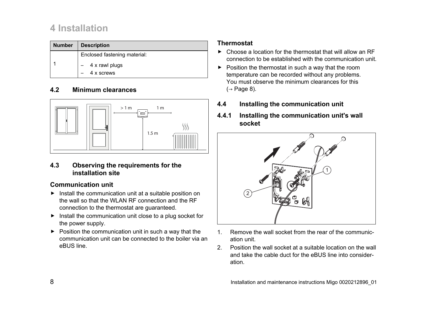### **4 Installation**

| <b>Number</b> | <b>Description</b>           |
|---------------|------------------------------|
|               | Enclosed fastening material: |
|               | 4 x rawl plugs               |
|               | 4 x screws                   |

#### **4.2 Minimum clearances**



#### **4.3 Observing the requirements for the installation site**

#### **Communication unit**

- ▶ Install the communication unit at a suitable position on the wall so that the WLAN RF connection and the RF connection to the thermostat are guaranteed.
- ▶ Install the communication unit close to a plug socket for the power supply.
- $\blacktriangleright$  Position the communication unit in such a way that the communication unit can be connected to the boiler via an eBUS line.

#### **Thermostat**

- $\triangleright$  Choose a location for the thermostat that will allow an RF connection to be established with the communication unit.
- $\blacktriangleright$  Position the thermostat in such a way that the room temperature can be recorded without any problems. You must observe the minimum clearances for this  $(\rightarrow$  Page 8).
- **4.4 Installing the communication unit**
- **4.4.1 Installing the communication unit's wall socket**



- 1. Remove the wall socket from the rear of the communication unit.
- 2. Position the wall socket at a suitable location on the wall and take the cable duct for the eBUS line into consideration.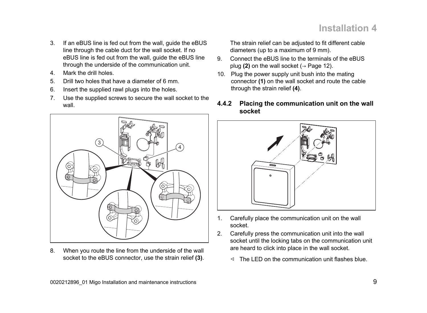- 3. If an eBUS line is fed out from the wall, guide the eBUS line through the cable duct for the wall socket. If no eBUS line is fed out from the wall, guide the eBUS line through the underside of the communication unit.
- 4. Mark the drill holes.
- 5. Drill two holes that have a diameter of 6 mm.
- 6. Insert the supplied rawl plugs into the holes.
- 7. Use the supplied screws to secure the wall socket to the wall.



8. When you route the line from the underside of the wall socket to the eBUS connector, use the strain relief **(3)**. The strain relief can be adjusted to fit different cable diameters (up to a maximum of 9 mm).

- 9. Connect the eBUS line to the terminals of the eBUS plug **(2)** on the wall socket ( $\rightarrow$  Page 12).
- 10. Plug the power supply unit bush into the mating connector **(1)** on the wall socket and route the cable through the strain relief **(4)**.
- **4.4.2 Placing the communication unit on the wall socket**



- 1. Carefully place the communication unit on the wall socket.
- 2. Carefully press the communication unit into the wall socket until the locking tabs on the communication unit are heard to click into place in the wall socket.
	- $\triangleleft$  The LED on the communication unit flashes blue.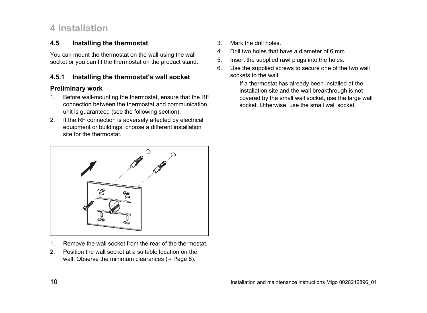### **4 Installation**

#### **4.5 Installing the thermostat**

You can mount the thermostat on the wall using the wall socket or you can fit the thermostat on the product stand.

#### **4.5.1 Installing the thermostat's wall socket**

#### **Preliminary work**

- 1. Before wall-mounting the thermostat, ensure that the RF connection between the thermostat and communication unit is guaranteed (see the following section).
- 2. If the RF connection is adversely affected by electrical equipment or buildings, choose a different installation site for the thermostat.



- 1. Remove the wall socket from the rear of the thermostat.
- 2. Position the wall socket at a suitable location on the wall. Observe the minimum clearances ( $\rightarrow$  Page 8).
- 3. Mark the drill holes.
- 4. Drill two holes that have a diameter of 6 mm.
- 5. Insert the supplied rawl plugs into the holes.
- 6. Use the supplied screws to secure one of the two wall sockets to the wall.
	- If a thermostat has already been installed at the installation site and the wall breakthrough is not covered by the small wall socket, use the large wall socket. Otherwise, use the small wall socket.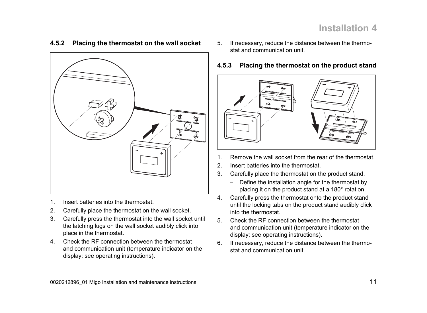#### **4.5.2 Placing the thermostat on the wall socket**



- 1. Insert batteries into the thermostat.
- 2. Carefully place the thermostat on the wall socket.
- 3. Carefully press the thermostat into the wall socket until the latching lugs on the wall socket audibly click into place in the thermostat.
- 4. Check the RF connection between the thermostat and communication unit (temperature indicator on the display; see operating instructions).
- 5. If necessary, reduce the distance between the thermostat and communication unit.
- **4.5.3 Placing the thermostat on the product stand**



- 1. Remove the wall socket from the rear of the thermostat.
- 2. Insert batteries into the thermostat.
- 3. Carefully place the thermostat on the product stand.
	- Define the installation angle for the thermostat by placing it on the product stand at a 180° rotation.
- 4. Carefully press the thermostat onto the product stand until the locking tabs on the product stand audibly click into the thermostat.
- 5. Check the RF connection between the thermostat and communication unit (temperature indicator on the display; see operating instructions).
- 6. If necessary, reduce the distance between the thermostat and communication unit.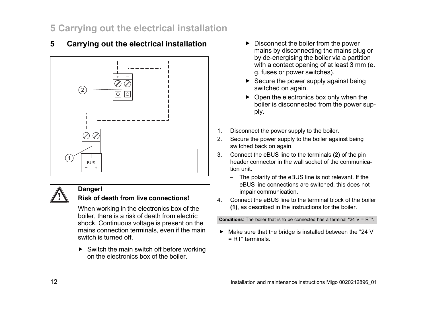### **5 Carrying out the electrical installation**

### **5 Carrying out the electrical installation**





#### **Danger!**

#### **Risk of death from live connections!**

When working in the electronics box of the boiler, there is a risk of death from electric shock. Continuous voltage is present on the mains connection terminals, even if the main switch is turned off.

 $\triangleright$  Switch the main switch off before working on the electronics box of the boiler.

- ▶ Disconnect the boiler from the power mains by disconnecting the mains plug or by de-energising the boiler via a partition with a contact opening of at least 3 mm (e. g. fuses or power switches).
- $\triangleright$  Secure the power supply against being switched on again.
- $\triangleright$  Open the electronics box only when the boiler is disconnected from the power supply.
- 1. Disconnect the power supply to the boiler.
- 2. Secure the power supply to the boiler against being switched back on again.
- 3. Connect the eBUS line to the terminals **(2)** of the pin header connector in the wall socket of the communication unit.
	- The polarity of the eBUS line is not relevant. If the eBUS line connections are switched, this does not impair communication.
- 4. Connect the eBUS line to the terminal block of the boiler **(1)**, as described in the instructions for the boiler.

**Conditions**: The boiler that is to be connected has a terminal "24 V = RT".

▶ Make sure that the bridge is installed between the "24 V = RT" terminals.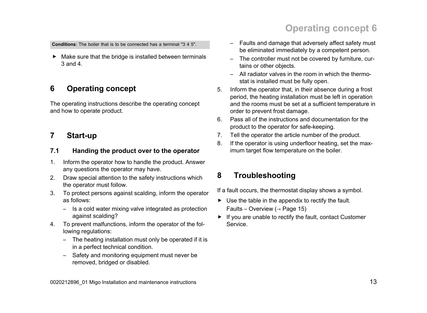## **Operating concept 6**

**Conditions**: The boiler that is to be connected has a terminal "3 4 5".

▶ Make sure that the bridge is installed between terminals 3 and 4.

### **6 Operating concept**

The operating instructions describe the operating concept and how to operate product.

#### **7 Start-up**

#### **7.1 Handing the product over to the operator**

- 1. Inform the operator how to handle the product. Answer any questions the operator may have.
- 2. Draw special attention to the safety instructions which the operator must follow.
- 3. To protect persons against scalding, inform the operator as follows:
	- Is a cold water mixing valve integrated as protection against scalding?
- 4. To prevent malfunctions, inform the operator of the following regulations:
	- The heating installation must only be operated if it is in a perfect technical condition.
	- Safety and monitoring equipment must never be removed, bridged or disabled.
- Faults and damage that adversely affect safety must be eliminated immediately by a competent person.
- The controller must not be covered by furniture, curtains or other objects.
- All radiator valves in the room in which the thermostat is installed must be fully open.
- 5. Inform the operator that, in their absence during a frost period, the heating installation must be left in operation and the rooms must be set at a sufficient temperature in order to prevent frost damage.
- 6. Pass all of the instructions and documentation for the product to the operator for safe-keeping.
- 7. Tell the operator the article number of the product.
- 8. If the operator is using underfloor heating, set the maximum target flow temperature on the boiler.

### **8 Troubleshooting**

If a fault occurs, the thermostat display shows a symbol.

- $\triangleright$  Use the table in the appendix to rectify the fault. Faults – Overview ( $\rightarrow$  Page 15)
- ▶ If you are unable to rectify the fault, contact Customer Service.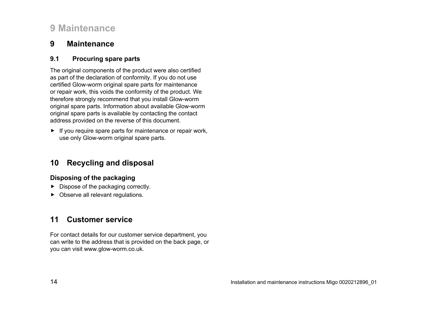### **9 Maintenance**

#### **9 Maintenance**

#### **9.1 Procuring spare parts**

The original components of the product were also certified as part of the declaration of conformity. If you do not use certified Glow-worm original spare parts for maintenance or repair work, this voids the conformity of the product. We therefore strongly recommend that you install Glow-worm original spare parts. Information about available Glow-worm original spare parts is available by contacting the contact address provided on the reverse of this document.

 $\blacktriangleright$  If you require spare parts for maintenance or repair work, use only Glow-worm original spare parts.

### **10 Recycling and disposal**

#### **Disposing of the packaging**

- ▶ Dispose of the packaging correctly.
- ▶ Observe all relevant regulations.

### **11 Customer service**

For contact details for our customer service department, you can write to the address that is provided on the back page, or you can visit www.glow-worm.co.uk.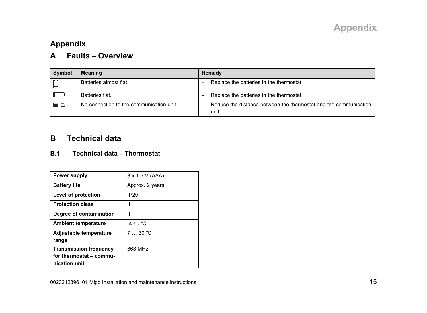### **A Faults** – **Overview**

| Symbol    | <b>Meaning</b>                           | Remedy                                                                    |
|-----------|------------------------------------------|---------------------------------------------------------------------------|
|           | Batteries almost flat.                   | Replace the batteries in the thermostat.                                  |
|           | Batteries flat.                          | Replace the batteries in the thermostat.                                  |
| $\boxdot$ | No connection to the communication unit. | Reduce the distance between the thermostat and the communication<br>unit. |

### **B Technical data**

#### **B.1 Technical data** – **Thermostat**

| <b>Power supply</b>                                                       | 3 x 1.5 V (AAA) |
|---------------------------------------------------------------------------|-----------------|
| <b>Battery life</b>                                                       | Approx. 2 years |
| Level of protection                                                       | <b>IP20</b>     |
| <b>Protection class</b>                                                   | Ш               |
| Degree of contamination                                                   | Ш               |
| <b>Ambient temperature</b>                                                | ≤ 50 °C         |
| Adjustable temperature<br>range                                           | $7 \dots 30$ °C |
| <b>Transmission frequency</b><br>for thermostat - commu-<br>nication unit | 868 MHz         |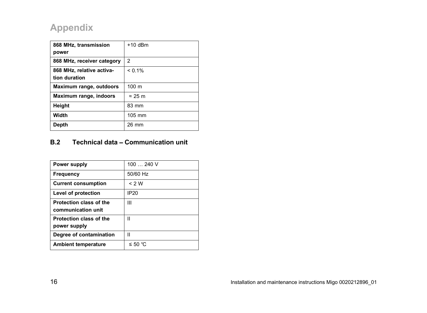| 868 MHz, transmission      | $+10$ dBm        |
|----------------------------|------------------|
| power                      |                  |
| 868 MHz, receiver category | 2                |
| 868 MHz, relative activa-  | $< 0.1\%$        |
| tion duration              |                  |
| Maximum range, outdoors    | 100 <sub>m</sub> |
| Maximum range, indoors     | $\approx$ 25 m   |
| Height                     | 83 mm            |
| Width                      | 105 mm           |
| <b>Depth</b>               | 26 mm            |

#### **B.2 Technical data** – **Communication unit**

| Power supply                                  | $100240$ V  |
|-----------------------------------------------|-------------|
| Frequency                                     | 50/60 Hz    |
| <b>Current consumption</b>                    | $<$ 2 W     |
| Level of protection                           | <b>IP20</b> |
| Protection class of the<br>communication unit | Ш           |
| Protection class of the<br>power supply       | н           |
| Degree of contamination                       | н           |
| <b>Ambient temperature</b>                    | ≤ 50 °C     |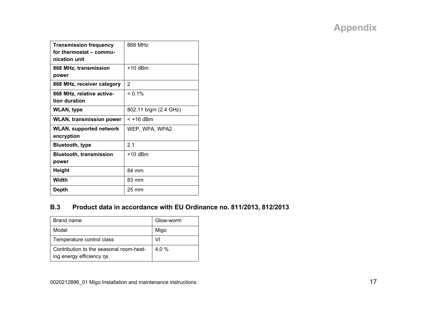| <b>Transmission frequency</b>   | 868 MHz                |
|---------------------------------|------------------------|
| for thermostat - commu-         |                        |
| nication unit                   |                        |
|                                 |                        |
| 868 MHz, transmission           | $+10$ dBm              |
| power                           |                        |
| 868 MHz, receiver category      | $\overline{c}$         |
| 868 MHz, relative activa-       | $< 0.1\%$              |
| tion duration                   |                        |
| <b>WLAN, type</b>               | 802.11 b/g/n (2.4 GHz) |
| <b>WLAN, transmission power</b> | $<$ +16 dBm            |
| WLAN, supported network         | WEP, WPA, WPA2         |
| encryption                      |                        |
| <b>Bluetooth, type</b>          | 21                     |
| <b>Bluetooth, transmission</b>  | $+10$ dBm              |
| power                           |                        |
| Height                          | 84 mm                  |
| Width                           | 83 mm                  |
| Depth                           | $25 \text{ mm}$        |

#### **B.3 Product data in accordance with EU Ordinance no. 811/2013, 812/2013**

| Brand name                                                          | Glow-worm |
|---------------------------------------------------------------------|-----------|
| Model                                                               | Migo      |
| Temperature control class                                           | VI        |
| Contribution to the seasonal room-heat-<br>ing energy efficiency ns | 4.0 %     |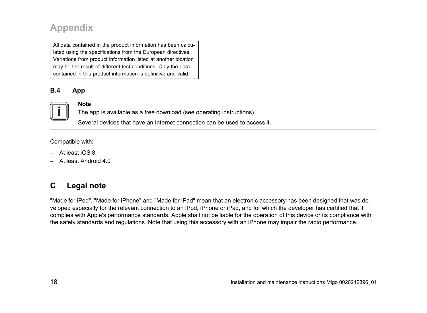All data contained in the product information has been calculated using the specifications from the European directives. Variations from product information listed at another location may be the result of different test conditions. Only the data contained in this product information is definitive and valid.

#### **B.4 App**



#### **Note**

The app is available as a free download (see operating instructions).

Several devices that have an Internet connection can be used to access it.

Compatible with:

- At least iOS 8
- At least Android 4.0

### **C Legal note**

"Made for iPod", "Made for iPhone" and "Made for iPad" mean that an electronic accessory has been designed that was developed especially for the relevant connection to an iPod, iPhone or iPad, and for which the developer has certified that it complies with Apple's performance standards. Apple shall not be liable for the operation of this device or its compliance with the safety standards and regulations. Note that using this accessory with an iPhone may impair the radio performance.